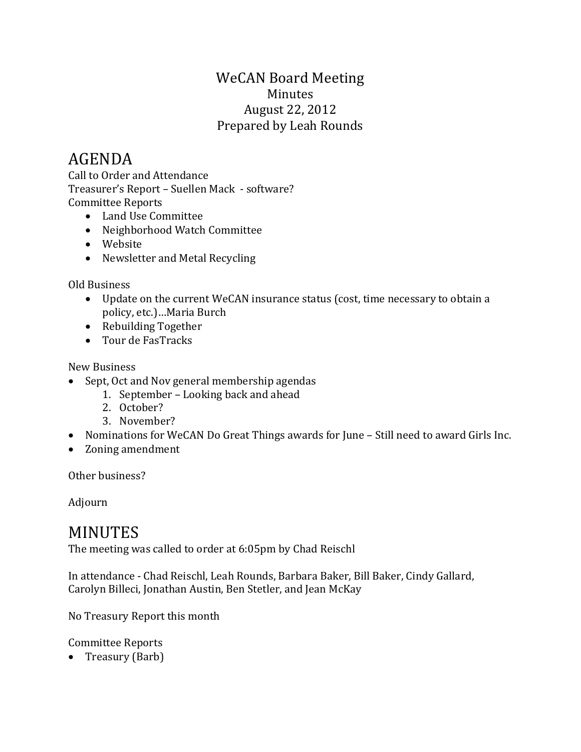## WeCAN Board Meeting Minutes August 22, 2012 Prepared by Leah Rounds

## AGENDA

Call to Order and Attendance Treasurer's Report – Suellen Mack - software? Committee Reports

- Land Use Committee
- Neighborhood Watch Committee
- Website
- Newsletter and Metal Recycling

Old Business

- Update on the current WeCAN insurance status (cost, time necessary to obtain a policy, etc.)…Maria Burch
- Rebuilding Together
- Tour de FasTracks

New Business

- Sept, Oct and Nov general membership agendas
	- 1. September Looking back and ahead
	- 2. October?
	- 3. November?
- Nominations for WeCAN Do Great Things awards for June Still need to award Girls Inc.
- Zoning amendment

Other business?

Adjourn

## MINUTES

The meeting was called to order at 6:05pm by Chad Reischl

In attendance - Chad Reischl, Leah Rounds, Barbara Baker, Bill Baker, Cindy Gallard, Carolyn Billeci, Jonathan Austin, Ben Stetler, and Jean McKay

No Treasury Report this month

Committee Reports

• Treasury (Barb)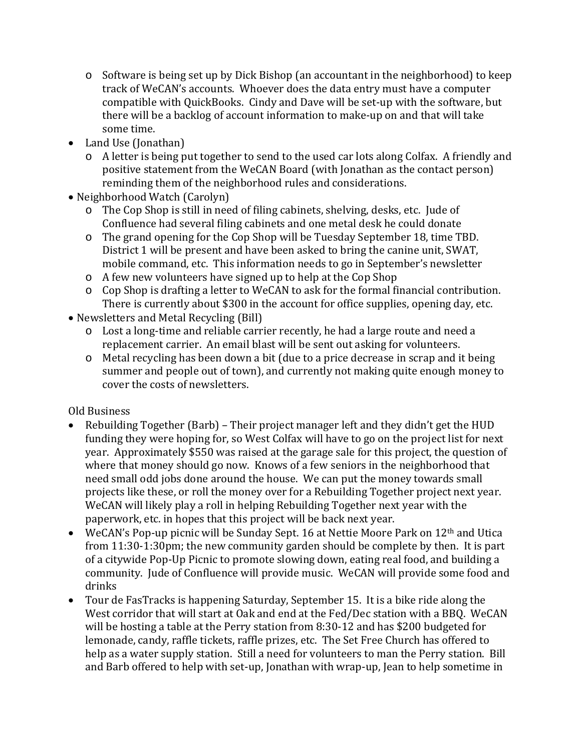- o Software is being set up by Dick Bishop (an accountant in the neighborhood) to keep track of WeCAN's accounts. Whoever does the data entry must have a computer compatible with QuickBooks. Cindy and Dave will be set-up with the software, but there will be a backlog of account information to make-up on and that will take some time.
- Land Use (Jonathan)
	- o A letter is being put together to send to the used car lots along Colfax. A friendly and positive statement from the WeCAN Board (with Jonathan as the contact person) reminding them of the neighborhood rules and considerations.
- Neighborhood Watch (Carolyn)
	- o The Cop Shop is still in need of filing cabinets, shelving, desks, etc. Jude of Confluence had several filing cabinets and one metal desk he could donate
	- o The grand opening for the Cop Shop will be Tuesday September 18, time TBD. District 1 will be present and have been asked to bring the canine unit, SWAT, mobile command, etc. This information needs to go in September's newsletter
	- o A few new volunteers have signed up to help at the Cop Shop
	- o Cop Shop is drafting a letter to WeCAN to ask for the formal financial contribution. There is currently about \$300 in the account for office supplies, opening day, etc.
- Newsletters and Metal Recycling (Bill)
	- o Lost a long-time and reliable carrier recently, he had a large route and need a replacement carrier. An email blast will be sent out asking for volunteers.
	- o Metal recycling has been down a bit (due to a price decrease in scrap and it being summer and people out of town), and currently not making quite enough money to cover the costs of newsletters.

Old Business

- Rebuilding Together (Barb) Their project manager left and they didn't get the HUD funding they were hoping for, so West Colfax will have to go on the project list for next year. Approximately \$550 was raised at the garage sale for this project, the question of where that money should go now. Knows of a few seniors in the neighborhood that need small odd jobs done around the house. We can put the money towards small projects like these, or roll the money over for a Rebuilding Together project next year. WeCAN will likely play a roll in helping Rebuilding Together next year with the paperwork, etc. in hopes that this project will be back next year.
- WeCAN's Pop-up picnic will be Sunday Sept. 16 at Nettie Moore Park on 12<sup>th</sup> and Utica from 11:30-1:30pm; the new community garden should be complete by then. It is part of a citywide Pop-Up Picnic to promote slowing down, eating real food, and building a community. Jude of Confluence will provide music. WeCAN will provide some food and drinks
- Tour de FasTracks is happening Saturday, September 15. It is a bike ride along the West corridor that will start at Oak and end at the Fed/Dec station with a BBQ. WeCAN will be hosting a table at the Perry station from 8:30-12 and has \$200 budgeted for lemonade, candy, raffle tickets, raffle prizes, etc. The Set Free Church has offered to help as a water supply station. Still a need for volunteers to man the Perry station. Bill and Barb offered to help with set-up, Jonathan with wrap-up, Jean to help sometime in